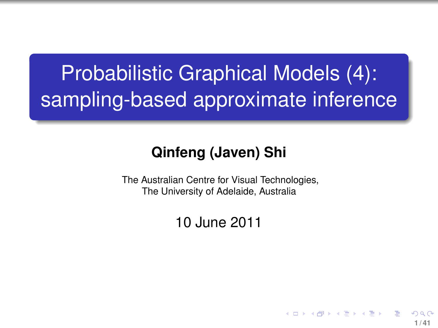# Probabilistic Graphical Models (4): sampling-based approximate inference

#### **Qinfeng (Javen) Shi**

The Australian Centre for Visual Technologies, The University of Adelaide, Australia

#### 10 June 2011

<span id="page-0-0"></span>**1 / 41**

イロト イ押 トイヨ トイヨト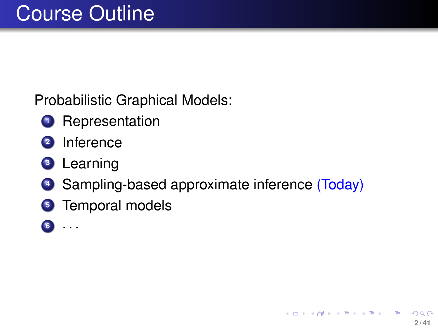Probabilistic Graphical Models:

- **<sup>1</sup>** Representation
- **<sup>2</sup>** Inference
- **<sup>3</sup>** Learning
- **<sup>4</sup>** Sampling-based approximate inference (Today)

**2 / 41**

K ロ > K @ > K 평 > K 평 > 시 평

- **<sup>5</sup>** Temporal models
- **<sup>6</sup>** · · ·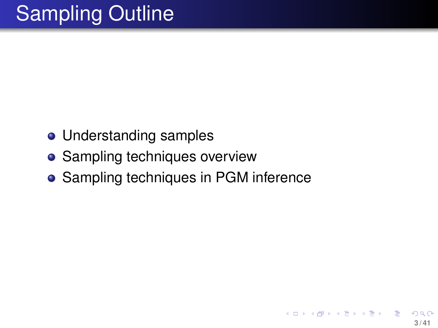- Understanding samples
- Sampling techniques overview
- **Sampling techniques in PGM inference**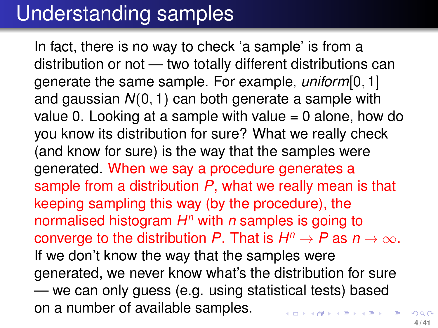#### Understanding samples

In fact, there is no way to check 'a sample' is from a distribution or not — two totally different distributions can generate the same sample. For example, *uniform*[0, 1] and gaussian *N*(0, 1) can both generate a sample with value 0. Looking at a sample with value  $= 0$  alone, how do you know its distribution for sure? What we really check (and know for sure) is the way that the samples were generated. When we say a procedure generates a sample from a distribution *P*, what we really mean is that keeping sampling this way (by the procedure), the normalised histogram *H <sup>n</sup>* with *n* samples is going to converge to the distribution *P*. That is  $H^n \to P$  as  $n \to \infty$ . If we don't know the way that the samples were generated, we never know what's the distribution for sure — we can only guess (e.g. using statistical tests) based on a number of available samples. K ロ ト K 御 ト K 澄 ト K 澄 ト 一磨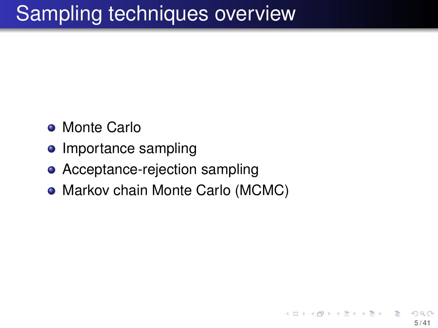## Sampling techniques overview

- **Monte Carlo**
- **o** Importance sampling
- Acceptance-rejection sampling
- Markov chain Monte Carlo (MCMC)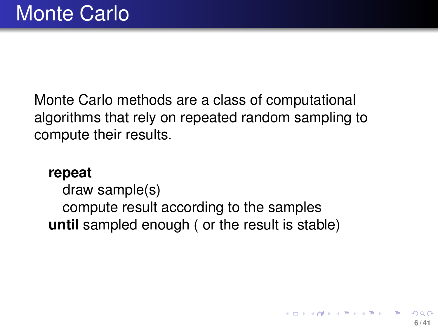Monte Carlo methods are a class of computational algorithms that rely on repeated random sampling to compute their results.

#### **repeat**

draw sample(s) compute result according to the samples **until** sampled enough ( or the result is stable)

**6 / 41**

イロト イ部 トイ君 トイ君 トー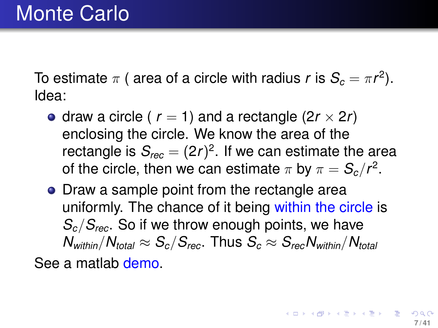To estimate  $\pi$  ( area of a circle with radius  $r$  is  $\mathcal{S}_c = \pi r^2$ ). Idea:

- draw a circle ( $r = 1$ ) and a rectangle ( $2r \times 2r$ ) enclosing the circle. We know the area of the rectangle is  $\mathcal{S}_{rec} = (2r)^2.$  If we can estimate the area of the circle, then we can estimate  $\pi$  by  $\pi = \mathcal{S}_{c}/\mathit{r}^{2}.$
- Draw a sample point from the rectangle area uniformly. The chance of it being within the circle is *Sc*/*Srec*. So if we throw enough points, we have  $N_{within}/N_{total} \approx S_c/S_{rec}$ . Thus  $S_c \approx S_{rec}N_{within}/N_{total}$

<span id="page-6-0"></span>See a matlab demo.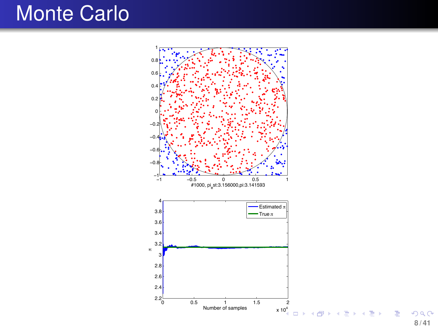## Monte Carlo



**8 / 41**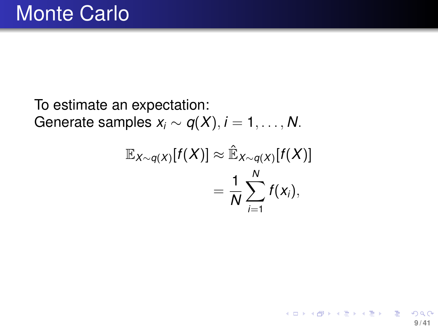To estimate an expectation: Generate samples  $x_i \sim q(X)$ ,  $i = 1, \ldots, N$ .

$$
\mathbb{E}_{X \sim q(X)}[f(X)] \approx \mathbb{\hat{E}}_{X \sim q(X)}[f(X)]
$$
  
= 
$$
\frac{1}{N} \sum_{i=1}^{N} f(x_i),
$$

**9 / 41**

メロトメ 御 トメ 君 トメ 君 トー 君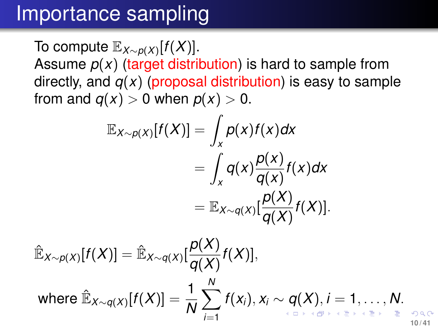#### Importance sampling

To compute E*X*∼*p*(*X*) [*f*(*X*)]. Assume  $p(x)$  (target distribution) is hard to sample from directly, and  $q(x)$  (proposal distribution) is easy to sample from and  $q(x) > 0$  when  $p(x) > 0$ .

$$
\mathbb{E}_{X \sim p(X)}[f(X)] = \int_{X} p(x)f(x)dx
$$
  
= 
$$
\int_{X} q(x) \frac{p(x)}{q(x)} f(x)dx
$$
  
= 
$$
\mathbb{E}_{X \sim q(X)}[\frac{p(X)}{q(X)}f(X)].
$$

$$
\hat{\mathbb{E}}_{X \sim p(X)}[f(X)] = \hat{\mathbb{E}}_{X \sim q(X)}[\frac{p(X)}{q(X)}f(X)],
$$
\nwhere 
$$
\hat{\mathbb{E}}_{X \sim q(X)}[f(X)] = \frac{1}{N} \sum_{i=1}^{N} f(x_i), x_i \sim q(X), i = 1, \ldots, N.
$$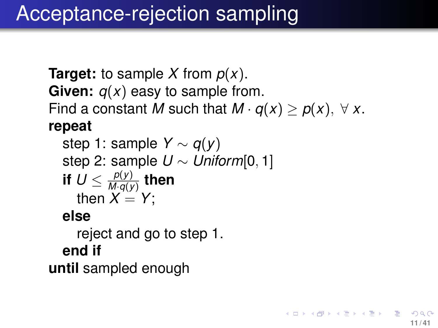## Acceptance-rejection sampling

```
Target: to sample X from p(x).
Given: q(x) easy to sample from.
Find a constant M such that M \cdot q(x) \geq p(x), \forall x.
repeat
```

```
step 1: sample Y ∼ q(y)
step 2: sample U ∼ Uniform[0, 1]
if U \leq \frac{\rho(y)}{M \cdot \alpha(y)}\frac{P(Y)}{M \cdot q(y)} then
   then X = Y:
```
#### **else**

reject and go to step 1. **end if until** sampled enough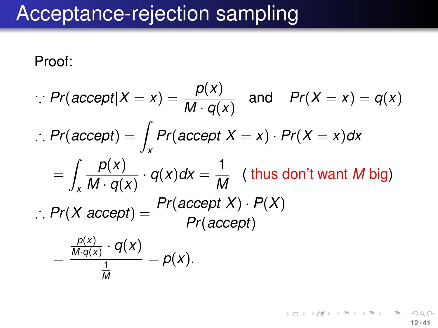### Acceptance-rejection sampling

Proof:

$$
Pr(\text{accept}|X = x) = \frac{p(x)}{M \cdot q(x)} \text{ and } Pr(X = x) = q(x)
$$
  
∴ Pr(\text{accept}) =  $\int_{x} Pr(\text{accept}|X = x) \cdot Pr(X = x) dx$   
=  $\int_{x} \frac{p(x)}{M \cdot q(x)} \cdot q(x) dx = \frac{1}{M}$  (thus don't want *M* big)  
∴ Pr(X|accept) =  $\frac{Pr(\text{accept}|X) \cdot P(X)}{Pr(\text{accept})}$   
=  $\frac{\frac{p(x)}{M \cdot q(x)} \cdot q(x)}{\frac{1}{M}} = p(x).$ 

イロトメ 御 トメ 君 トメ 君 トー 君 つへへ **12 / 41**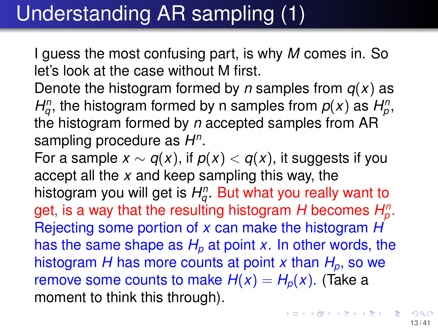## Understanding AR sampling (1)

I guess the most confusing part, is why *M* comes in. So let's look at the case without M first.

Denote the histogram formed by *n* samples from *q*(*x*) as *H*<sup>*n*</sup></sup>, the histogram formed by n samples from  $p(x)$  as  $H_p^n$ , the histogram formed by *n* accepted samples from AR sampling procedure as *H n* .

For a sample  $x \sim q(x)$ , if  $p(x) < q(x)$ , it suggests if you accept all the *x* and keep sampling this way, the histogram you will get is  $H^\mathsf{n}_q.$  But what you really want to get, is a way that the resulting histogram  $H$  becomes  $H_p^n$ . Rejecting some portion of *x* can make the histogram *H* has the same shape as  $H_p$  at point *x*. In other words, the histogram *H* has more counts at point *x* than  $H_p$ , so we remove some counts to make  $H(x) = H_p(x)$ . (Take a moment to think this through).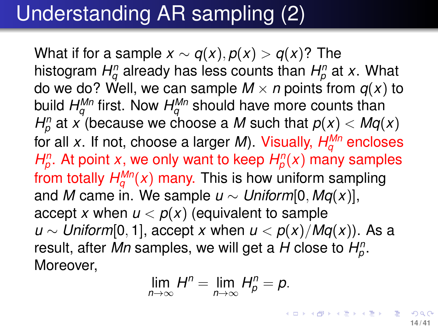## Understanding AR sampling (2)

What if for a sample  $x \sim q(x)$ ,  $p(x) > q(x)$ ? The histogram  $H_{q}^{n}$  already has less counts than  $H_{p}^{n}$  at  $x$ . What do we do? Well, we can sample  $M \times n$  points from  $q(x)$  to build  $H^{\mathsf{M} \mathsf{n}}_q$  first. Now  $H^{\mathsf{M} \mathsf{n}}_q$  should have more counts than  $H_p^n$  at *x* (because we choose a *M* such that  $p(x) < Mq(x)$ for all *x*. If not, choose a larger *M*). Visually, *H Mn <sup>q</sup>* encloses *H*<sup>*n*</sup></sup>, At point *x*, we only want to keep  $H_p^n(x)$  many samples from totally  $H_q^{Mn}(x)$  many. This is how uniform sampling and *M* came in. We sample *u* ∼ *Uniform*[0, *Mq(x)*], accept *x* when  $u < p(x)$  (equivalent to sample *u* ∼ *Uniform*[0, 1], accept *x* when *u* <  $p(x)/MQ(x)$ ). As a result, after *Mn* samples, we will get a *H* close to *H n p* . Moreover,

$$
\lim_{n\to\infty}H^n=\lim_{n\to\infty}H^n_p=p.
$$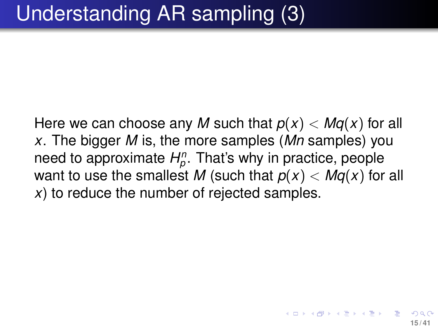Here we can choose any M such that  $p(x) < Mq(x)$  for all *x*. The bigger *M* is, the more samples (*Mn* samples) you need to approximate *H n p* . That's why in practice, people want to use the smallest M (such that  $p(x) < Mg(x)$  for all *x*) to reduce the number of rejected samples.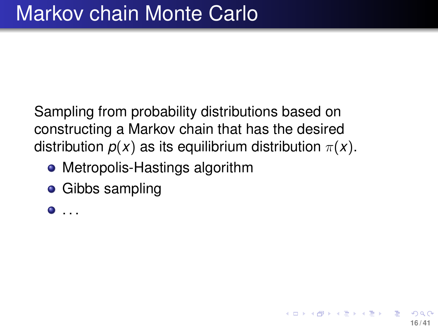Sampling from probability distributions based on constructing a Markov chain that has the desired distribution  $p(x)$  as its equilibrium distribution  $\pi(x)$ .

- Metropolis-Hastings algorithm
- **•** Gibbs sampling

. . .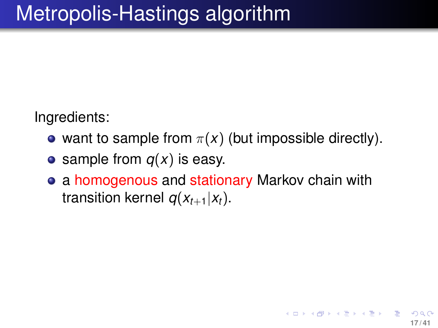Ingredients:

- want to sample from  $\pi(x)$  (but impossible directly).
- sample from  $q(x)$  is easy.
- a homogenous and stationary Markov chain with transition kernel  $q(x_{t+1}|x_t)$ .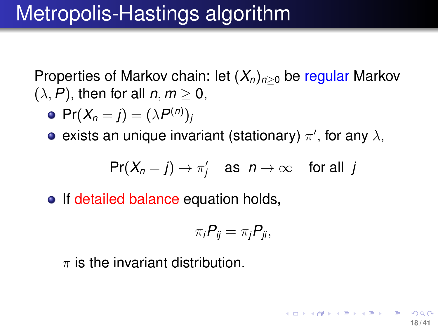Properties of Markov chain: let  $(X_n)_{n>0}$  be regular Markov  $(\lambda, P)$ , then for all  $n, m \geq 0$ ,

$$
\bullet \ \Pr(X_n = j) = (\lambda P^{(n)})_j
$$

exists an unique invariant (stationary)  $\pi'$ , for any  $\lambda,$ 

$$
\text{Pr}(X_n = j) \to \pi'_j \quad \text{as} \ \ n \to \infty \quad \text{for all } j
$$

• If detailed balance equation holds,

$$
\pi_i P_{ij} = \pi_j P_{ji},
$$

**18 / 41**

K ロ ト K 御 ト K 澄 ト K 澄 ト 一磨

 $\pi$  is the invariant distribution.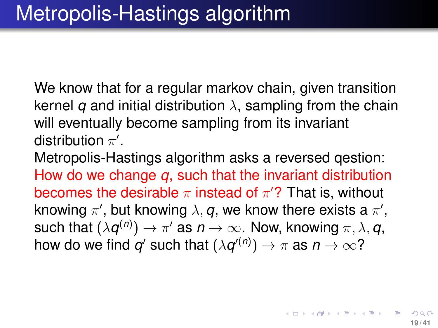We know that for a regular markov chain, given transition kernel *q* and initial distribution  $\lambda$ , sampling from the chain will eventually become sampling from its invariant distribution  $\pi'$ .

Metropolis-Hastings algorithm asks a reversed qestion: How do we change *q*, such that the invariant distribution becomes the desirable  $\pi$  instead of  $\pi'$ ? That is, without knowing  $\pi'$ , but knowing  $\lambda, \bm{q},$  we know there exists a  $\pi',$ such that  $(\lambda \boldsymbol{q}^{(n)}) \to \pi'$  as  $n \to \infty.$  Now, knowing  $\pi, \lambda, \boldsymbol{q},$ how do we find  $q'$  such that  $(\lambda q'^{(n)})\to \pi$  as  $n\to\infty$ ?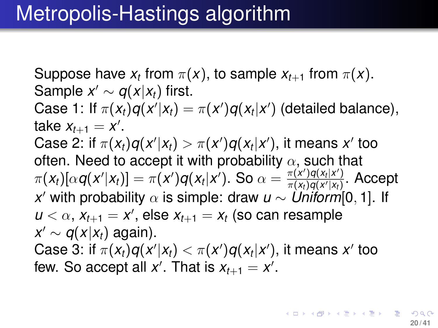<span id="page-19-0"></span>Suppose have  $x_t$  from  $\pi(x)$ , to sample  $x_{t+1}$  from  $\pi(x)$ . Sample  $x' \sim q(x|x_t)$  first. Case 1: If  $\pi(x_t)q(x'|x_t) = \pi(x')q(x_t|x')$  (detailed balance), take  $x_{t+1} = x'$ . Case 2: if  $\pi(x_t)q(x'|x_t) > \pi(x')q(x_t|x')$ , it means  $x'$  too often. Need to accept it with probability  $\alpha$ , such that  $\pi(x_t)[\alpha q(x'|x_t)] = \pi(x')q(x_t|x')$ . So  $\alpha = \frac{\pi(x')q(x_t|x')}{\pi(x_t)q(x'|x_t)}$  $\frac{\pi(x^{\prime})q(x_t|x^{\prime})}{\pi(x_t)q(x^{\prime}|x_t)}.$  Accept *x* <sup>0</sup> with probability α is simple: draw *u* ∼ *Uniform*[0, 1]. If  $u < \alpha$ ,  $x_{t+1} = x'$ , else  $x_{t+1} = x_t$  (so can resample  $x' \sim q(x|x_t)$  again). Case 3: if  $\pi(x_t)q(x'|x_t)<\pi(x')q(x_t|x')$ , it means  $x'$  too few. So accept all  $x'$ . That is  $x_{t+1} = x'$ .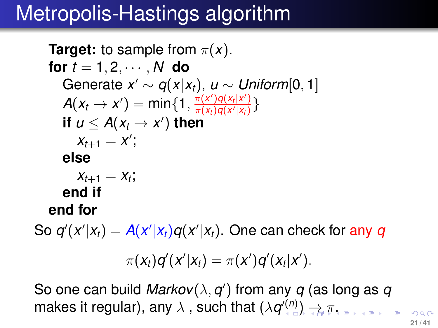## Metropolis-Hastings algorithm

**Target:** to sample from  $\pi(x)$ . **for**  $t = 1, 2, \cdots, N$  **do** Generate  $x' \sim q(x|x_t)$ ,  $u \sim Uniform[0, 1]$  $A(x_t \to x') = \min\{1, \frac{\pi(x')q(x_t|x')}{\pi(x_t)q(x'|x_t)}\}$  $\frac{\pi(x)}{\pi(x_t)q(x'|x_t)}\}$ **if**  $u \leq A(x_t \to x')$  then  $x_{t+1} = x'$ ; **else**  $x_{t+1} = x_t$ ; **end if end for**

So  $q'(x'|x_t) = A(x'|x_t)q(x'|x_t)$ . One can check for any  $q$ 

<span id="page-20-0"></span>
$$
\pi(x_t)q'(x'|x_t)=\pi(x')q'(x_t|x').
$$

So one can build *Markov* $(\lambda, q')$  from any  $q$  (as long as  $q$ makes it regular[\)](#page-21-0), any  $\lambda$  , such that  $(\lambda \bm{q}'^{(n)}) \rightarrow \pi.$  $(\lambda \bm{q}'^{(n)}) \rightarrow \pi.$  $(\lambda \bm{q}'^{(n)}) \rightarrow \pi.$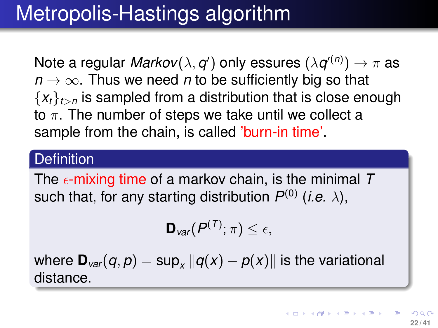## Metropolis-Hastings algorithm

Note a regular  $\textit{Markov}(\lambda, q')$  only essures  $(\lambda q'^{(n)}) \to \pi$  as  $n \to \infty$ . Thus we need *n* to be sufficiently big so that  ${x_t}_{t>n}$  is sampled from a distribution that is close enough to  $\pi$ . The number of steps we take until we collect a sample from the chain, is called 'burn-in time'.

#### **Definition**

The  $\epsilon$ -mixing time of a markov chain, is the minimal T such that, for any starting distribution  $P^{(0)}$  (*i.e.*  $\lambda$ ),

<span id="page-21-0"></span>
$$
\mathbf{D}_{var}(P^{(T)};\pi)\leq \epsilon,
$$

where  $\mathbf{D}_{\mathit{var}}(q,p) = \sup_{x} \|q(x) - p(x)\|$  is the variational distance.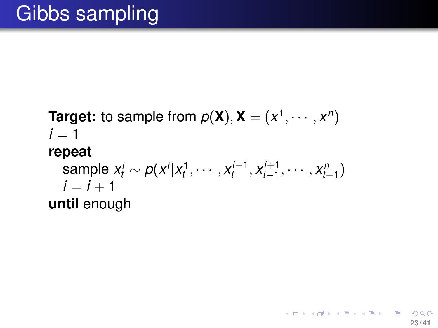**Target:** to sample from  $p(X)$ ,  $X = (x^1, \dots, x^n)$  $i = 1$ **repeat** sample  $x_t^i \sim p(x^i | x_t^1, \cdots, x_t^{i-1})$  $x_{t-1}^{i-1}$ ,  $x_{t-1}^{i+1}$ *i*+1, ..., *x*<sub>*n*-1</sub> )  $i = i + 1$ **until** enough

**23 / 41**

K ロ ▶ K 個 ▶ K 君 ▶ K 君 ▶ ○ 君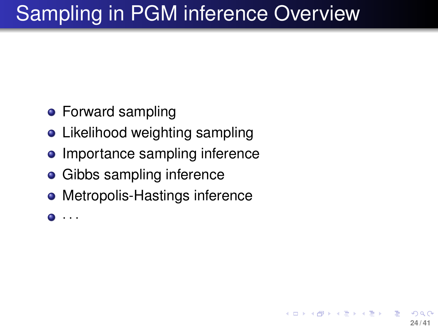# Sampling in PGM inference Overview

**24 / 41**

イロト イ押 トイヨ トイヨト

- **•** Forward sampling
- Likelihood weighting sampling
- Importance sampling inference
- **•** Gibbs sampling inference
- Metropolis-Hastings inference
- · · ·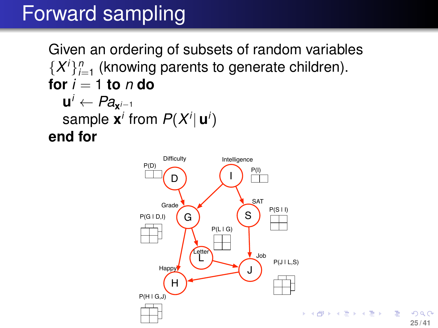Given an ordering of subsets of random variables  $\{X^i\}_{i=1}^n$  (knowing parents to generate children). **for**  $i = 1$  **to**  $n$  **do**  $\mathbf{u}^i \leftarrow Pa_{\mathbf{x}^{i-1}}$ sample  $\mathbf{x}^i$  from  $P(X^i|\mathbf{u}^i)$ **end for**

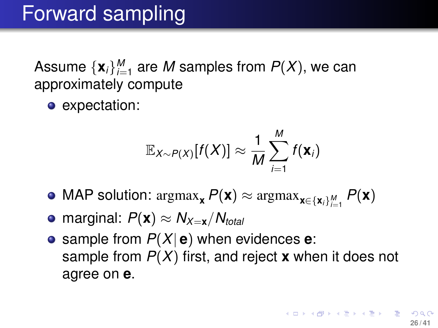Assume  $\{ {\bf x}_i \}_{i=1}^M$  are  $M$  samples from  $P(X)$ , we can approximately compute

• expectation:

$$
\mathbb{E}_{X \sim P(X)}[f(X)] \approx \frac{1}{M} \sum_{i=1}^{M} f(\mathbf{x}_i)
$$

- $\mathsf{MAP}$  solution:  $\operatorname{argmax}_{\mathbf{x}} P(\mathbf{x}) \approx \operatorname{argmax}_{\mathbf{x} \in \{\mathbf{x}_i\}_{i=1}^M} P(\mathbf{x})$
- $\bullet$  marginal:  $P(\mathbf{x}) \approx N_{\mathcal{X}=\mathbf{x}}/N_{total}$
- **•** sample from  $P(X | e)$  when evidences **e**: sample from *P*(*X*) first, and reject **x** when it does not agree on **e**.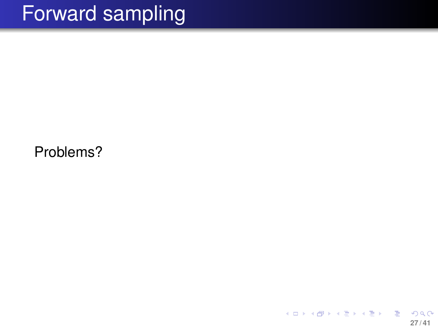Problems?

メロメメ 倒 メメ きょく ミメー 隱 つへへ **27 / 41**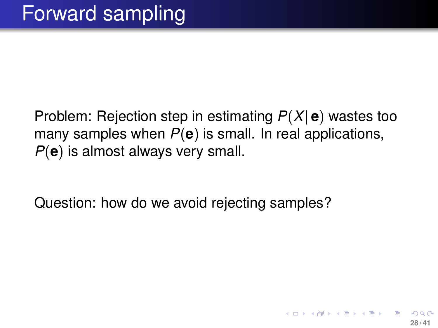Problem: Rejection step in estimating *P*(*X*| **e**) wastes too many samples when *P*(**e**) is small. In real applications, *P*(**e**) is almost always very small.

Question: how do we avoid rejecting samples?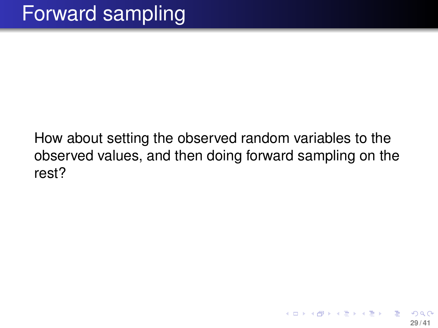How about setting the observed random variables to the observed values, and then doing forward sampling on the rest?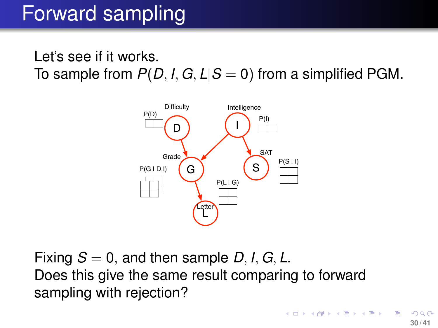#### Let's see if it works. To sample from  $P(D, I, G, L|S = 0)$  from a simplified PGM.



Fixing  $S = 0$ , and then sample D, I, G, L. Does this give the same result comparing to forward sampling with rejection?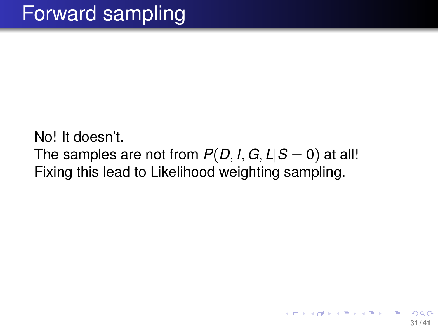No! It doesn't. The samples are not from  $P(D, I, G, L|S = 0)$  at all! Fixing this lead to Likelihood weighting sampling.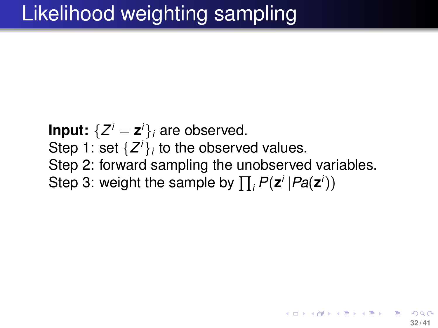**Input:**  $\{Z^{i} = \mathbf{z}^{i}\}_i$  are observed. Step 1: set  $\{Z^i\}_i$  to the observed values. Step 2: forward sampling the unobserved variables. Step 3: weight the sample by  $\prod_i P(\mathsf{z}^i | Pa(\mathsf{z}^i))$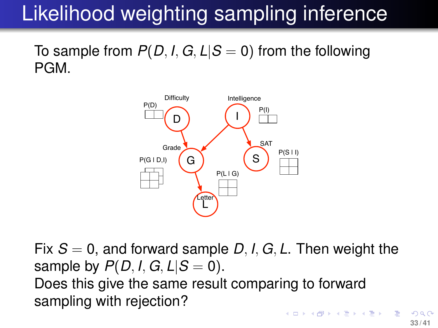# Likelihood weighting sampling inference

To sample from  $P(D, I, G, L|S = 0)$  from the following PGM.



Fix  $S = 0$ , and forward sample D, I, G, L. Then weight the sample by  $P(D, I, G, L|S = 0)$ . Does this give the same result comparing to forward sampling with rejection?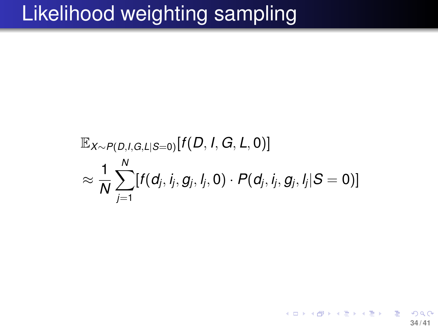## Likelihood weighting sampling

$$
\mathbb{E}_{X \sim P(D, l, G, L | S=0)}[f(D, l, G, L, 0)] \\ \approx \frac{1}{N} \sum_{j=1}^N [f(d_j, i_j, g_j, l_j, 0) \cdot P(d_j, i_j, g_j, l_j | S=0)]
$$

◆ロト→個ト→重ト→重ト→重 **34 / 41**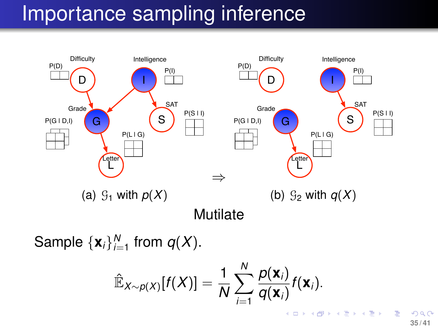## Importance sampling inference



Sample  $\{x_i\}_{i=1}^N$  from  $q(X)$ .

$$
\hat{\mathbb{E}}_{X \sim p(X)}[f(X)] = \frac{1}{N} \sum_{i=1}^{N} \frac{p(\mathbf{x}_i)}{q(\mathbf{x}_i)} f(\mathbf{x}_i).
$$

**35 / 41**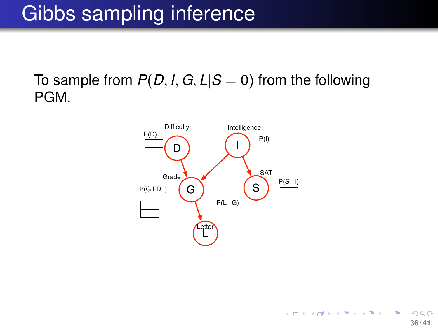## Gibbs sampling inference

To sample from  $P(D, I, G, L|S = 0)$  from the following PGM.

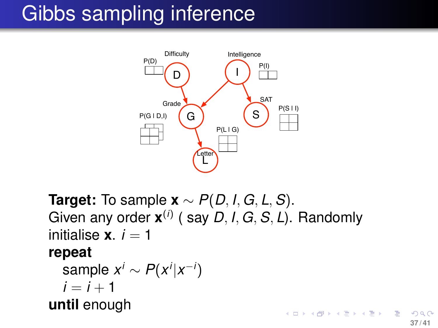## Gibbs sampling inference



**Target:** To sample **x** ∼ *P*(*D*, *I*, *G*, *L*,*S*). Given any order **x** (*i*) ( say *D*, *I*, *G*,*S*, *L*). Randomly initialise  $\mathbf{x}$ .  $i = 1$ 

#### **repeat**

 $\mathsf{sample}\; x^i \sim P(x^i | x^{-i})$  $i = i + 1$ **until** enough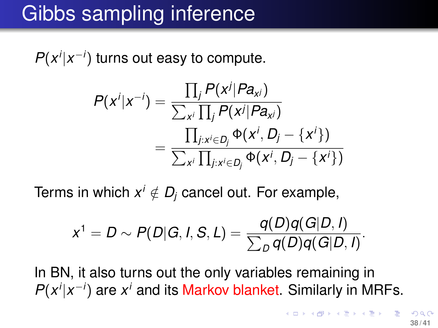### Gibbs sampling inference

 $P(x^i|x^{-i})$  turns out easy to compute.

$$
P(x^i|x^{-i}) = \frac{\prod_j P(x^j|Pa_{x^j})}{\sum_{x^i} \prod_j P(x^j|Pa_{x^j})}
$$
  
= 
$$
\frac{\prod_{j:x^i \in D_j} \Phi(x^i, D_j - \{x^i\})}{\sum_{x^i} \prod_{j:x^i \in D_j} \Phi(x^i, D_j - \{x^i\})}
$$

Terms in which  $x^i \notin D_j$  cancel out. For example,

$$
x^{1} = D \sim P(D|G, I, S, L) = \frac{q(D)q(G|D, I)}{\sum_{D} q(D)q(G|D, I)}.
$$

In BN, it also turns out the only variables remaining in  $P(x^i|x^{-i})$  are  $x^i$  and its Markov blanket. Similarly in MRFs.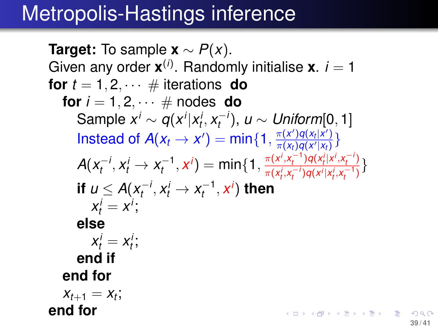### Metropolis-Hastings inference

**Target:** To sample  $\mathbf{x} \sim P(x)$ . Given any order  $\mathbf{x}^{(i)}$ . Randomly initialise  $\mathbf{x}$ . *i* = 1 **for**  $t = 1, 2, \cdots \#$  iterations **do for**  $i = 1, 2, \cdots \#$  nodes **do**  $\mathsf{Sample}\ x^i \sim q(x^i | x^i_t, x^{-i}_t)$ *t* ), *u* ∼ *Uniform*[0, 1] Instead of  $A(x_t \to x') = min\{1, \frac{\pi(x')q(x_t|x')}{\pi(x_t)q(x'|x_t)}\}$  $\frac{\pi(x')q(x_t|x')}{\pi(x_t)q(x'|x_t)}\}$  $\tau_t^{-1}, x^i) = \min\{1, \frac{\pi(x^i, x_t^{-1})q(x_t^i|x^i, x_t^{-i})}{\pi(x^i, x_t^{-1})q(x^i|x^i, x_t^{-1})}$  $A(x_t^{-1})$  $x_t^{-i}$ ,  $x_t^i \rightarrow x_t^{-1}$  $\frac{\pi(x^i, x_t^{i-1})q(x_t^i, x_t^{i-1})}{\pi(x_t^i, x_t^{-i})q(x^i|x_t^i, x_t^{-1})}$ **if**  $u \leq A(x_t^{-1})$  $\chi_t^{-i}, \chi_t^{i} \to \chi_t^{-1}$  $\boldsymbol{x}_t^{-1}, \boldsymbol{x}^i)$  then  $x_t^i = x^i;$ **else**  $x_t^i = x_t^i;$ **end if end for**  $x_{t+1} = x_t$ ; **end for** K ロ ▶ K 御 ▶ K 君 ▶ K 君 ▶ ○ 君

**39 / 41**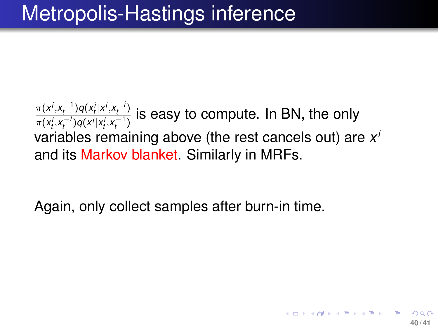## Metropolis-Hastings inference

 $\frac{\pi(x^i, x_t^{-1})q(x_t^i | x^i, x_t^{-i})}{h}$  $\frac{\pi(x), x_t}{\pi(x_t^i, x_t^{-i})q(x^i|x_t^i, x_t^{-i})}$  is easy to compute. In BN, the only *t*<br>
variables remaining above (the rest cancels out) are *x*<sup>*i*</sup> and its Markov blanket. Similarly in MRFs.

Again, only collect samples after burn-in time.